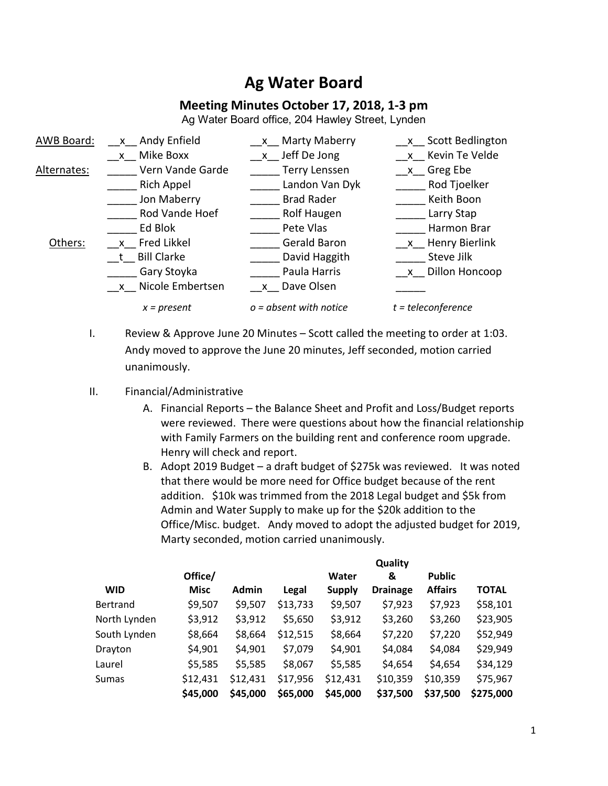## **Ag Water Board**

## **Meeting Minutes October 17, 2018, 1-3 pm**

Ag Water Board office, 204 Hawley Street, Lynden



- I. Review & Approve June 20 Minutes Scott called the meeting to order at 1:03. Andy moved to approve the June 20 minutes, Jeff seconded, motion carried unanimously.
- II. Financial/Administrative
	- A. Financial Reports the Balance Sheet and Profit and Loss/Budget reports were reviewed. There were questions about how the financial relationship with Family Farmers on the building rent and conference room upgrade. Henry will check and report.
	- B. Adopt 2019 Budget a draft budget of \$275k was reviewed. It was noted that there would be more need for Office budget because of the rent addition. \$10k was trimmed from the 2018 Legal budget and \$5k from Admin and Water Supply to make up for the \$20k addition to the Office/Misc. budget. Andy moved to adopt the adjusted budget for 2019, Marty seconded, motion carried unanimously.

|              |             | Quality      |          |               |                 |                |              |
|--------------|-------------|--------------|----------|---------------|-----------------|----------------|--------------|
|              | Office/     |              |          | Water         | &               | <b>Public</b>  |              |
| <b>WID</b>   | <b>Misc</b> | <b>Admin</b> | Legal    | <b>Supply</b> | <b>Drainage</b> | <b>Affairs</b> | <b>TOTAL</b> |
| Bertrand     | \$9,507     | \$9,507      | \$13,733 | \$9,507       | \$7,923         | \$7,923        | \$58,101     |
| North Lynden | \$3,912     | \$3,912      | \$5,650  | \$3,912       | \$3,260         | \$3,260        | \$23,905     |
| South Lynden | \$8,664     | \$8,664      | \$12,515 | \$8,664       | \$7,220         | \$7,220        | \$52,949     |
| Drayton      | \$4,901     | \$4,901      | \$7,079  | \$4,901       | \$4,084         | \$4,084        | \$29,949     |
| Laurel       | \$5,585     | \$5,585      | \$8,067  | \$5,585       | \$4,654         | \$4,654        | \$34,129     |
| Sumas        | \$12,431    | \$12,431     | \$17,956 | \$12,431      | \$10,359        | \$10,359       | \$75,967     |
|              | \$45,000    | \$45,000     | \$65,000 | \$45,000      | \$37,500        | \$37,500       | \$275,000    |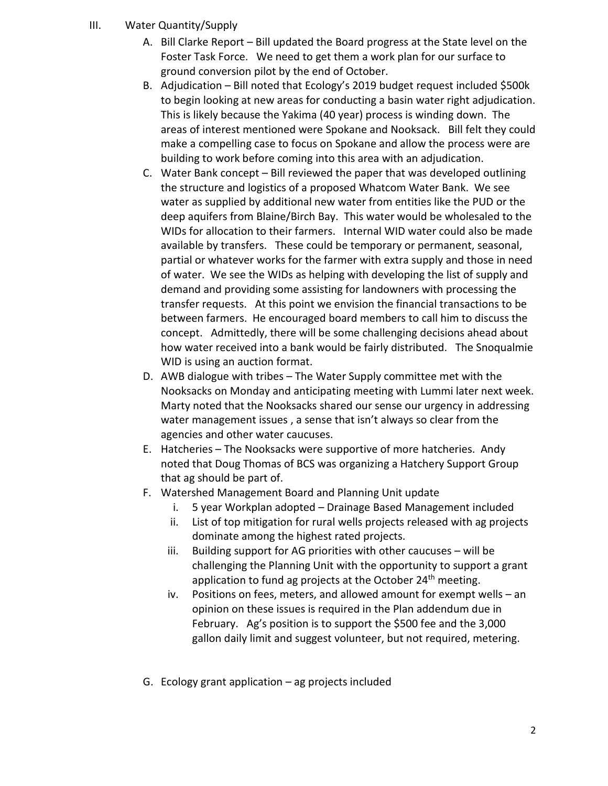- III. Water Quantity/Supply
	- A. Bill Clarke Report Bill updated the Board progress at the State level on the Foster Task Force. We need to get them a work plan for our surface to ground conversion pilot by the end of October.
	- B. Adjudication Bill noted that Ecology's 2019 budget request included \$500k to begin looking at new areas for conducting a basin water right adjudication. This is likely because the Yakima (40 year) process is winding down. The areas of interest mentioned were Spokane and Nooksack. Bill felt they could make a compelling case to focus on Spokane and allow the process were are building to work before coming into this area with an adjudication.
	- C. Water Bank concept Bill reviewed the paper that was developed outlining the structure and logistics of a proposed Whatcom Water Bank. We see water as supplied by additional new water from entities like the PUD or the deep aquifers from Blaine/Birch Bay. This water would be wholesaled to the WIDs for allocation to their farmers. Internal WID water could also be made available by transfers. These could be temporary or permanent, seasonal, partial or whatever works for the farmer with extra supply and those in need of water. We see the WIDs as helping with developing the list of supply and demand and providing some assisting for landowners with processing the transfer requests. At this point we envision the financial transactions to be between farmers. He encouraged board members to call him to discuss the concept. Admittedly, there will be some challenging decisions ahead about how water received into a bank would be fairly distributed. The Snoqualmie WID is using an auction format.
	- D. AWB dialogue with tribes The Water Supply committee met with the Nooksacks on Monday and anticipating meeting with Lummi later next week. Marty noted that the Nooksacks shared our sense our urgency in addressing water management issues , a sense that isn't always so clear from the agencies and other water caucuses.
	- E. Hatcheries The Nooksacks were supportive of more hatcheries. Andy noted that Doug Thomas of BCS was organizing a Hatchery Support Group that ag should be part of.
	- F. Watershed Management Board and Planning Unit update
		- i. 5 year Workplan adopted Drainage Based Management included
		- ii. List of top mitigation for rural wells projects released with ag projects dominate among the highest rated projects.
		- iii. Building support for AG priorities with other caucuses will be challenging the Planning Unit with the opportunity to support a grant application to fund ag projects at the October  $24<sup>th</sup>$  meeting.
		- iv. Positions on fees, meters, and allowed amount for exempt wells an opinion on these issues is required in the Plan addendum due in February. Ag's position is to support the \$500 fee and the 3,000 gallon daily limit and suggest volunteer, but not required, metering.
	- G. Ecology grant application ag projects included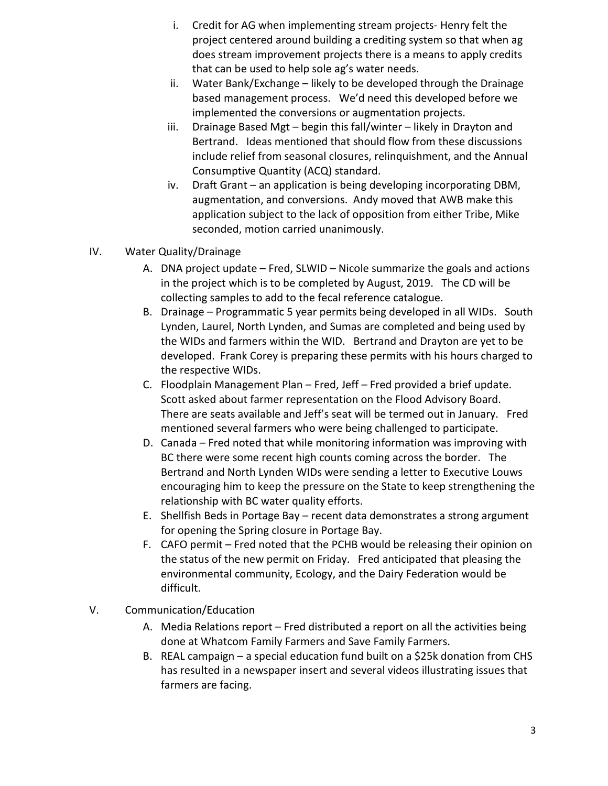- i. Credit for AG when implementing stream projects- Henry felt the project centered around building a crediting system so that when ag does stream improvement projects there is a means to apply credits that can be used to help sole ag's water needs.
- ii. Water Bank/Exchange likely to be developed through the Drainage based management process. We'd need this developed before we implemented the conversions or augmentation projects.
- iii. Drainage Based Mgt begin this fall/winter likely in Drayton and Bertrand. Ideas mentioned that should flow from these discussions include relief from seasonal closures, relinquishment, and the Annual Consumptive Quantity (ACQ) standard.
- iv. Draft Grant an application is being developing incorporating DBM, augmentation, and conversions. Andy moved that AWB make this application subject to the lack of opposition from either Tribe, Mike seconded, motion carried unanimously.
- IV. Water Quality/Drainage
	- A. DNA project update Fred, SLWID Nicole summarize the goals and actions in the project which is to be completed by August, 2019. The CD will be collecting samples to add to the fecal reference catalogue.
	- B. Drainage Programmatic 5 year permits being developed in all WIDs. South Lynden, Laurel, North Lynden, and Sumas are completed and being used by the WIDs and farmers within the WID. Bertrand and Drayton are yet to be developed. Frank Corey is preparing these permits with his hours charged to the respective WIDs.
	- C. Floodplain Management Plan Fred, Jeff Fred provided a brief update. Scott asked about farmer representation on the Flood Advisory Board. There are seats available and Jeff's seat will be termed out in January. Fred mentioned several farmers who were being challenged to participate.
	- D. Canada Fred noted that while monitoring information was improving with BC there were some recent high counts coming across the border. The Bertrand and North Lynden WIDs were sending a letter to Executive Louws encouraging him to keep the pressure on the State to keep strengthening the relationship with BC water quality efforts.
	- E. Shellfish Beds in Portage Bay recent data demonstrates a strong argument for opening the Spring closure in Portage Bay.
	- F. CAFO permit Fred noted that the PCHB would be releasing their opinion on the status of the new permit on Friday. Fred anticipated that pleasing the environmental community, Ecology, and the Dairy Federation would be difficult.
- V. Communication/Education
	- A. Media Relations report Fred distributed a report on all the activities being done at Whatcom Family Farmers and Save Family Farmers.
	- B. REAL campaign a special education fund built on a \$25k donation from CHS has resulted in a newspaper insert and several videos illustrating issues that farmers are facing.